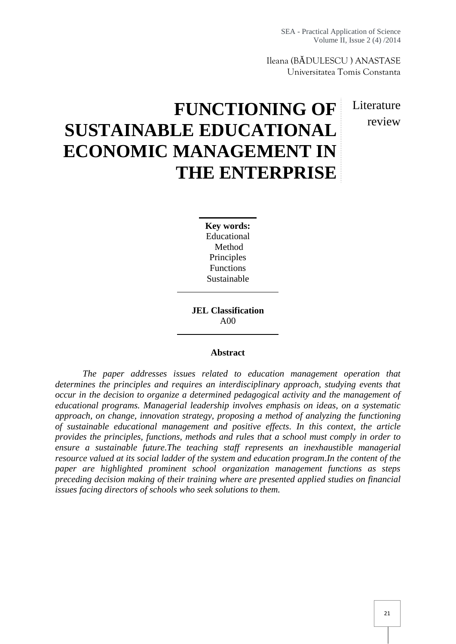SEA - Practical Application of Science Volume II, Issue 2 (4) /2014

Ileana (B DULESCU ) ANASTASE Universitatea Tomis Constanta

# **L**iterature review

# **FUNCTIONING OF SUSTAINABLE EDUCATIONAL ECONOMIC MANAGEMENT IN THE ENTERPRISE**

**Key words:** Educational Method Principles Functions Sustainable

**JEL Classification** A00

#### **Abstract**

*The paper addresses issues related to education management operation that determines the principles and requires an interdisciplinary approach, studying events that occur in the decision to organize a determined pedagogical activity and the management of educational programs. Managerial leadership involves emphasis on ideas, on a systematic approach, on change, innovation strategy, proposing a method of analyzing the functioning of sustainable educational management and positive effects. In this context, the article provides the principles, functions, methods and rules that a school must comply in order to ensure a sustainable future.The teaching staff represents an inexhaustible managerial resource valued at its social ladder of the system and education program.In the content of the paper are highlighted prominent school organization management functions as steps preceding decision making of their training where are presented applied studies on financial issues facing directors of schools who seek solutions to them.*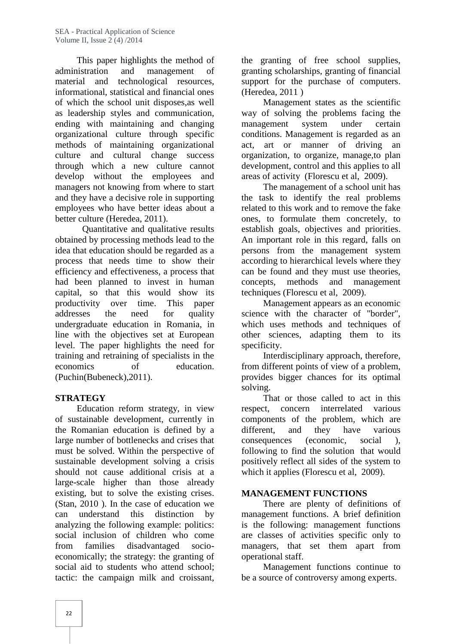This paper highlights the method of administration and management of material and technological resources, informational, statistical and financial ones of which the school unit disposes,as well as leadership styles and communication, ending with maintaining and changing organizational culture through specific methods of maintaining organizational culture and cultural change success through which a new culture cannot develop without the employees and managers not knowing from where to start and they have a decisive role in supporting employees who have better ideas about a better culture (Heredea, 2011).

Quantitative and qualitative results obtained by processing methods lead to the idea that education should be regarded as a process that needs time to show their efficiency and effectiveness, a process that had been planned to invest in human concepts, capital, so that this would show its productivity over time. This paper addresses the need for quality undergraduate education in Romania, in line with the objectives set at European level. The paper highlights the need for training and retraining of specialists in the economics of education. (Puchin(Bubeneck),2011).

### **STRATEGY**

Education reform strategy, in view respect, concern of sustainable development, currently in the Romanian education is defined by a large number of bottlenecks and crises that must be solved. Within the perspective of sustainable development solving a crisis should not cause additional crisis at a large-scale higher than those already existing, but to solve the existing crises. (Stan, 2010 ). In the case of education we can understand this distinction by analyzing the following example: politics: social inclusion of children who come from families disadvantaged socio economically; the strategy: the granting of social aid to students who attend school; tactic: the campaign milk and croissant,

the granting of free school supplies, granting scholarships, granting of financial support for the purchase of computers. (Heredea, 2011 )

Management states as the scientific way of solving the problems facing the management system under certain conditions. Management is regarded as an act, art or manner of driving an organization, to organize, manage,to plan development, control and this applies to all areas of activity (Florescu et al, 2009).

The management of a school unit has the task to identify the real problems related to this work and to remove the fake ones, to formulate them concretely, to establish goals, objectives and priorities. An important role in this regard, falls on persons from the management system according to hierarchical levels where they can be found and they must use theories, methods and management techniques (Florescu et al, 2009).

Management appears as an economic science with the character of "border", which uses methods and techniques of other sciences, adapting them to its specificity.

Interdisciplinary approach, therefore, from different points of view of a problem, provides bigger chances for its optimal solving.

That or those called to act in this interrelated various components of the problem, which are different, and they have various consequences (economic, social ), following to find the solution that would positively reflect all sides of the system to which it applies (Florescu et al, 2009).

# **MANAGEMENT FUNCTIONS**

There are plenty of definitions of management functions. A brief definition is the following: management functions are classes of activities specific only to managers, that set them apart from operational staff.

Management functions continue to be a source of controversy among experts.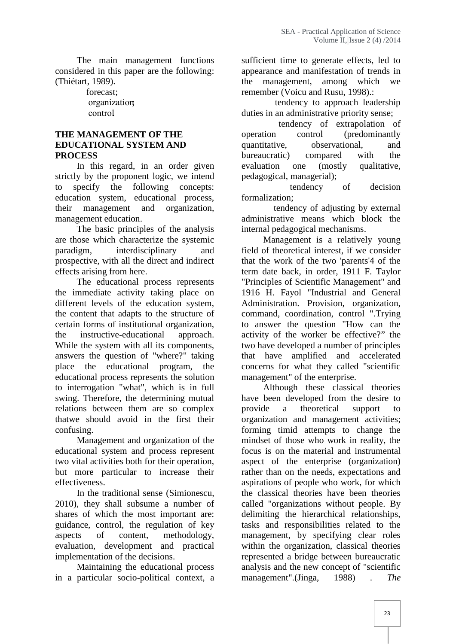The main management functions considered in this paper are the following: (Thiétart, 1989).

> forecast; organization; control.

#### **THE MANAGEMENT OF THE EDUCATIONAL SYSTEM AND PROCESS**

In this regard, in an order given evaluation strictly by the proponent logic, we intend to specify the following concepts: education system, educational process, their management and organization, management education.

The basic principles of the analysis are those which characterize the systemic paradigm, interdisciplinary and prospective, with all the direct and indirect effects arising from here.

The educational process represents the immediate activity taking place on different levels of the education system, the content that adapts to the structure of certain forms of institutional organization, the instructive-educational approach. While the system with all its components, answers the question of "where?" taking place the educational program, the educational process represents the solution to interrogation "what", which is in full swing. Therefore, the determining mutual relations between them are so complex thatwe should avoid in the first their confusing.

Management and organization of the educational system and process represent two vital activities both for their operation, but more particular to increase their effectiveness.

In the traditional sense (Simionescu, 2010), they shall subsume a number of shares of which the most important are: guidance, control, the regulation of key aspects of content, methodology, evaluation, development and practical implementation of the decisions.

Maintaining the educational process in a particular socio-political context, a

sufficient time to generate effects, led to appearance and manifestation of trends in the management, among which we remember (Voicu and Rusu, 1998).:

tendency to approach leadership duties in an administrative priority sense;

tendency of extrapolation of operation control (predominantly quantitative, observational, and bureaucratic) compared with the one (mostly qualitative, pedagogical, managerial);

tendency of decision formalization;

tendency of adjusting by external administrative means which block the internal pedagogical mechanisms.

Management is a relatively young field of theoretical interest, if we consider that the work of the two 'parents'4 of the term date back, in order, 1911 F. Taylor "Principles of Scientific Management" and 1916 H. Fayol "Industrial and General Administration. Provision, organization, command, coordination, control ".Trying to answer the question "How can the activity of the worker be effective?" the two have developed a number of principles that have amplified and accelerated concerns for what they called "scientific management" of the enterprise.

Although these classical theories have been developed from the desire to a theoretical support to organization and management activities; forming timid attempts to change the mindset of those who work in reality, the focus is on the material and instrumental aspect of the enterprise (organization) rather than on the needs, expectations and aspirations of people who work, for which the classical theories have been theories called "organizations without people. By delimiting the hierarchical relationships, tasks and responsibilities related to the management, by specifying clear roles within the organization, classical theories represented a bridge between bureaucratic analysis and the new concept of "scientific management".(Jinga, 1988) . *The*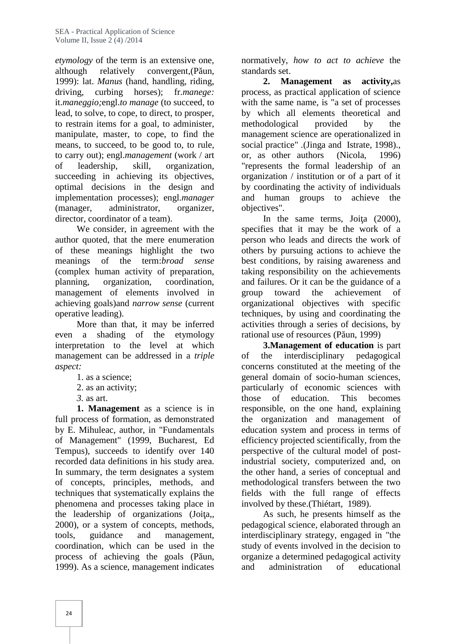*etymology* of the term is an extensive one, although relatively convergent, $(P$ un, 1999): lat. *Manus* (hand, handling, riding, driving, curbing horses); fr.*manege:* it.*maneggio;*engl.*to manage* (to succeed, to lead, to solve, to cope, to direct, to prosper, to restrain items for a goal, to administer, manipulate, master, to cope, to find the means, to succeed, to be good to, to rule, to carry out); engl.*management* (work / art of leadership, skill, organization, succeeding in achieving its objectives, optimal decisions in the design and implementation processes); engl.*manager* (manager, administrator, organizer, director, coordinator of a team).

We consider, in agreement with the author quoted, that the mere enumeration of these meanings highlight the two meanings of the term:*broad sense* (complex human activity of preparation, planning, organization, coordination, management of elements involved in achieving goals)and *narrow sense* (current operative leading).

More than that, it may be inferred even a shading of the etymology interpretation to the level at which management can be addressed in a *triple aspect:*

- 1. as a science;
- 2. as an activity;
- *3.* as art.

**1. Management** as a science is in full process of formation, as demonstrated by E. Mihuleac, author, in "Fundamentals of Management" (1999, Bucharest, Ed Tempus), succeeds to identify over 140 recorded data definitions in his study area. In summary, the term designates a system of concepts, principles, methods, and techniques that systematically explains the phenomena and processes taking place in the leadership of organizations  $(Joi a, , )$ 2000), or a system of concepts, methods, tools, guidance and management, coordination, which can be used in the process of achieving the goals (P un, 1999). As a science, management indicates

normatively, *how to act to achieve* the standards set.

**2. Management as activity,**as process, as practical application of science with the same name, is "a set of processes by which all elements theoretical and methodological provided by the management science are operationalized in social practice" .(Jinga and Istrate, 1998)., or, as other authors (Nicola, 1996) "represents the formal leadership of an organization / institution or of a part of it by coordinating the activity of individuals and human groups to achieve the objectives".

In the same terms, Joi a  $(2000)$ , specifies that it may be the work of a person who leads and directs the work of others by pursuing actions to achieve the best conditions, by raising awareness and taking responsibility on the achievements and failures. Or it can be the guidance of a toward the achievement of organizational objectives with specific techniques, by using and coordinating the activities through a series of decisions, by rational use of resources  $(P$  un, 1999)

**3.Management of education** is part the interdisciplinary pedagogical concerns constituted at the meeting of the general domain of socio-human sciences, particularly of economic sciences with those of education. This becomes responsible, on the one hand, explaining the organization and management of education system and process in terms of efficiency projected scientifically, from the perspective of the cultural model of postindustrial society, computerized and, on the other hand, a series of conceptual and methodological transfers between the two fields with the full range of effects involved by these.(Thiétart, 1989).

As such, he presents himself as the pedagogical science, elaborated through an interdisciplinary strategy, engaged in "the study of events involved in the decision to organize a determined pedagogical activity and administration of educational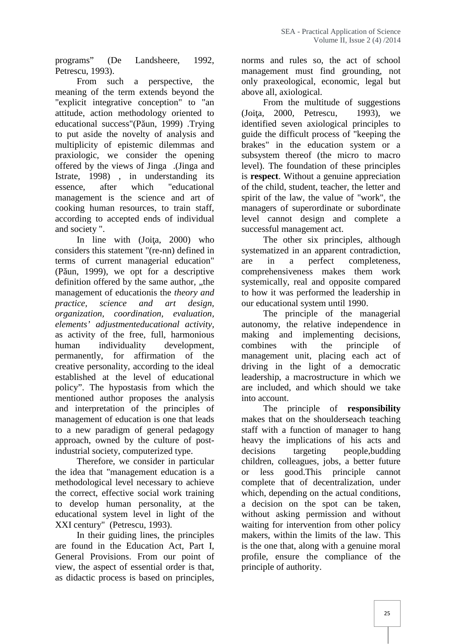programs" (De Landsheere, 1992, Petrescu, 1993).

From such a perspective, the meaning of the term extends beyond the "explicit integrative conception" to "an attitude, action methodology oriented to educational success"(P un, 1999) .Trying to put aside the novelty of analysis and multiplicity of epistemic dilemmas and praxiologic, we consider the opening offered by the views of Jinga .(Jinga and Istrate, 1998) , in understanding its essence, after which "educational management is the science and art of cooking human resources, to train staff, according to accepted ends of individual and society ".

In line with  $(Joi a, 2000)$  who considers this statement "(re-nn) defined in terms of current managerial education" (P un, 1999), we opt for a descriptive definition offered by the same author, "the management of educationis the *theory and practice, science and art design, organization, coordination, evaluation, elements' adjustmenteducational activity,* as activity of the free, full, harmonious human individuality development, permanently, for affirmation of the creative personality, according to the ideal established at the level of educational policy". The hypostasis from which the mentioned author proposes the analysis and interpretation of the principles of management of education is one that leads to a new paradigm of general pedagogy approach, owned by the culture of postindustrial society, computerized type.

Therefore, we consider in particular the idea that "management education is a methodological level necessary to achieve the correct, effective social work training to develop human personality, at the educational system level in light of the XXI century" (Petrescu, 1993).

In their guiding lines, the principles are found in the Education Act, Part I, General Provisions. From our point of view, the aspect of essential order is that, as didactic process is based on principles,

norms and rules so, the act of school management must find grounding, not only praxeological, economic, legal but above all, axiological*.*

From the multitude of suggestions 2000. Petrescu, 1993), we identified seven axiological principles to guide the difficult process of "keeping the brakes" in the education system or a subsystem thereof (the micro to macro level). The foundation of these principles is **respect**. Without a genuine appreciation of the child, student, teacher, the letter and spirit of the law, the value of "work", the managers of superordinate or subordinate level cannot design and complete a successful management act.

The other six principles, although systematized in an apparent contradiction, in a perfect completeness, comprehensiveness makes them work systemically, real and opposite compared to how it was performed the leadership in our educational system until 1990.

The principle of the managerial autonomy, the relative independence in making and implementing decisions, combines with the principle of management unit, placing each act of driving in the light of a democratic leadership, a macrostructure in which we are included, and which should we take into account.

The principle of **responsibility** makes that on the shoulderseach teaching staff with a function of manager to hang heavy the implications of his acts and decisions targeting people,budding children, colleagues, jobs, a better future less good.This principle cannot complete that of decentralization, under which, depending on the actual conditions, a decision on the spot can be taken, without asking permission and without waiting for intervention from other policy makers, within the limits of the law. This is the one that, along with a genuine moral profile, ensure the compliance of the principle of authority.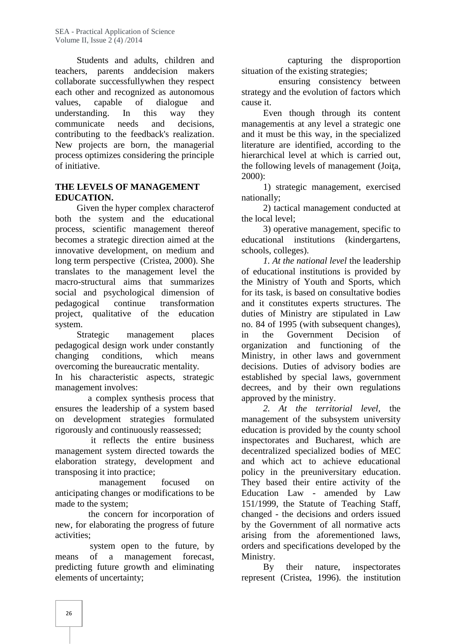Students and adults, children and teachers, parents anddecision makers collaborate successfullywhen they respect each other and recognized as autonomous values, capable of dialogue and understanding. In this way they communicate needs and decisions, contributing to the feedback's realization. New projects are born, the managerial process optimizes considering the principle of initiative.

#### **THE LEVELS OF MANAGEMENT EDUCATION.**

Given the hyper complex characterof both the system and the educational process, scientific management thereof becomes a strategic direction aimed at the innovative development, on medium and long term perspective (Cristea, 2000). She translates to the management level the macro-structural aims that summarizes social and psychological dimension of pedagogical continue transformation project, qualitative of the education system.

Strategic management places pedagogical design work under constantly changing conditions, which means overcoming the bureaucratic mentality*.*

In his characteristic aspects, strategic management involves:

a complex synthesis process that ensures the leadership of a system based on development strategies formulated rigorously and continuously reassessed;

it reflects the entire business management system directed towards the elaboration strategy, development and transposing it into practice;

management focused on anticipating changes or modifications to be made to the system;

the concern for incorporation of new, for elaborating the progress of future activities;

system open to the future, by means of a management forecast, predicting future growth and eliminating elements of uncertainty;

capturing the disproportion situation of the existing strategies;

ensuring consistency between strategy and the evolution of factors which cause it.

Even though through its content managementis at any level a strategic one and it must be this way, in the specialized literature are identified, according to the hierarchical level at which is carried out, the following levels of management (Joi a, 2000):

1) strategic management, exercised nationally;

2) tactical management conducted at the local level;

3) operative management, specific to educational institutions (kindergartens, schools, colleges).

*1. At the national level* the leadership of educational institutions is provided by the Ministry of Youth and Sports, which for its task, is based on consultative bodies and it constitutes experts structures. The duties of Ministry are stipulated in Law no. 84 of 1995 (with subsequent changes), in the Government Decision of organization and functioning of the Ministry, in other laws and government decisions. Duties of advisory bodies are established by special laws, government decrees, and by their own regulations approved by the ministry.

*2. At the territorial level,* the management of the subsystem university education is provided by the county school inspectorates and Bucharest, which are decentralized specialized bodies of MEC and which act to achieve educational policy in the preuniversitary education. They based their entire activity of the Education Law - amended by Law 151/1999, the Statute of Teaching Staff, changed - the decisions and orders issued by the Government of all normative acts arising from the aforementioned laws, orders and specifications developed by the Ministry.

By their nature, inspectorates represent (Cristea, 1996). the institution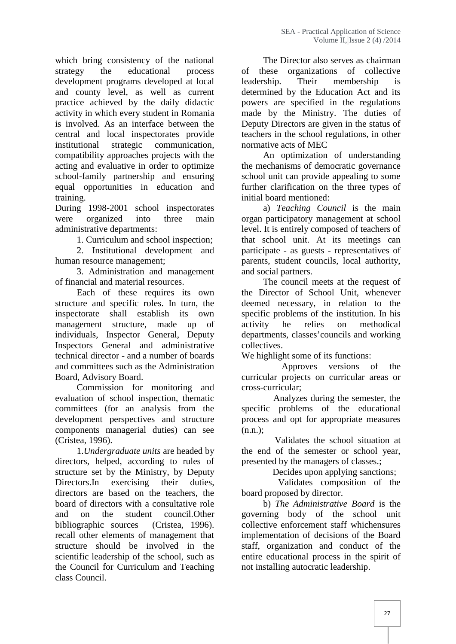which bring consistency of the national strategy the educational process development programs developed at local and county level, as well as current practice achieved by the daily didactic activity in which every student in Romania is involved. As an interface between the central and local inspectorates provide institutional strategic communication, compatibility approaches projects with the acting and evaluative in order to optimize school-family partnership and ensuring equal opportunities in education and training.

During 1998-2001 school inspectorates were organized into three main administrative departments:

1. Curriculum and school inspection;

2. Institutional development and human resource management;

3. Administration and management of financial and material resources.

Each of these requires its own structure and specific roles. In turn, the inspectorate shall establish its own management structure, made up of individuals, Inspector General, Deputy Inspectors General and administrative technical director - and a number of boards and committees such as the Administration Board, Advisory Board.

Commission for monitoring and evaluation of school inspection, thematic committees (for an analysis from the development perspectives and structure components managerial duties) can see (Cristea, 1996).

1.*Undergraduate units* are headed by directors, helped, according to rules of structure set by the Ministry, by Deputy Directors.In exercising their duties, directors are based on the teachers, the board of directors with a consultative role and on the student council.Other bibliographic sources (Cristea, 1996). recall other elements of management that structure should be involved in the scientific leadership of the school, such as the Council for Curriculum and Teaching class Council.

The Director also serves as chairman of these organizations of collective leadership. Their membership is determined by the Education Act and its powers are specified in the regulations made by the Ministry. The duties of Deputy Directors are given in the status of teachers in the school regulations, in other normative acts of MEC

An optimization of understanding the mechanisms of democratic governance school unit can provide appealing to some further clarification on the three types of initial board mentioned:

a) *Teaching Council* is the main organ participatory management at school level. It is entirely composed of teachers of that school unit. At its meetings can participate - as guests - representatives of parents, student councils, local authority, and social partners.

The council meets at the request of the Director of School Unit, whenever deemed necessary, in relation to the specific problems of the institution. In his activity he relies on methodical departments, classes'councils and working collectives.

We highlight some of its functions:

Approves versions of the curricular projects on curricular areas or cross-curricular;

Analyzes during the semester, the specific problems of the educational process and opt for appropriate measures  $(n.n.);$ 

Validates the school situation at the end of the semester or school year, presented by the managers of classes.;

Decides upon applying sanctions;

Validates composition of the board proposed by director.

b) *The Administrative Board* is the governing body of the school unit collective enforcement staff whichensures implementation of decisions of the Board staff, organization and conduct of the entire educational process in the spirit of not installing autocratic leadership.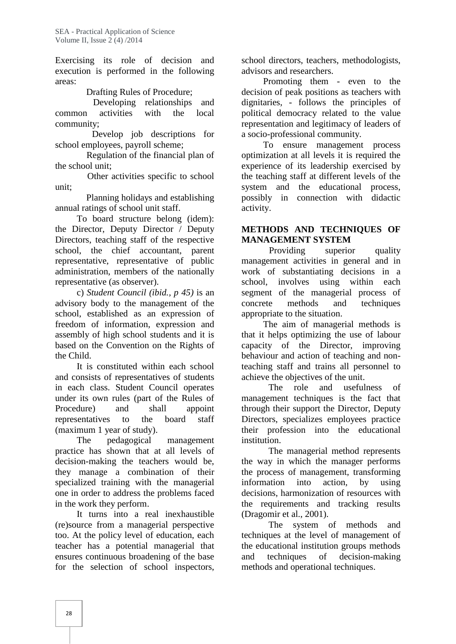Exercising its role of decision and execution is performed in the following areas:

Drafting Rules of Procedure;

Developing relationships and common activities with the local community;

Develop job descriptions for school employees, payroll scheme;

Regulation of the financial plan of the school unit;

Other activities specific to school unit;

Planning holidays and establishing annual ratings of school unit staff.

To board structure belong (idem): the Director, Deputy Director / Deputy Directors, teaching staff of the respective school, the chief accountant, parent representative, representative of public administration, members of the nationally representative (as observer).

c) *Student Council (ibid., p 45)* is an advisory body to the management of the school, established as an expression of freedom of information, expression and assembly of high school students and it is based on the Convention on the Rights of the Child.

It is constituted within each school and consists of representatives of students in each class. Student Council operates under its own rules (part of the Rules of Procedure) and shall appoint representatives to the board staff (maximum 1 year of study).

The pedagogical management practice has shown that at all levels of decision-making the teachers would be, they manage a combination of their specialized training with the managerial one in order to address the problems faced in the work they perform.

It turns into a real inexhaustible (re)source from a managerial perspective too. At the policy level of education, each teacher has a potential managerial that ensures continuous broadening of the base for the selection of school inspectors,

school directors, teachers, methodologists, advisors and researchers.

Promoting them - even to the decision of peak positions as teachers with dignitaries, - follows the principles of political democracy related to the value representation and legitimacy of leaders of a socio-professional community.

To ensure management process optimization at all levels it is required the experience of its leadership exercised by the teaching staff at different levels of the system and the educational process, possibly in connection with didactic activity.

## **METHODS AND TECHNIQUES OF MANAGEMENT SYSTEM**

Providing superior quality management activities in general and in work of substantiating decisions in a school, involves using within each segment of the managerial process of methods and techniques appropriate to the situation.

The aim of managerial methods is that it helps optimizing the use of labour capacity of the Director, improving behaviour and action of teaching and nonteaching staff and trains all personnel to achieve the objectives of the unit.

The role and usefulness of management techniques is the fact that through their support the Director, Deputy Directors, specializes employees practice their profession into the educational institution.

The managerial method represents the way in which the manager performs the process of management, transforming information into action, by using decisions, harmonization of resources with the requirements and tracking results (Dragomir et al., 2001).

The system of methods and techniques at the level of management of the educational institution groups methods techniques of decision-making methods and operational techniques.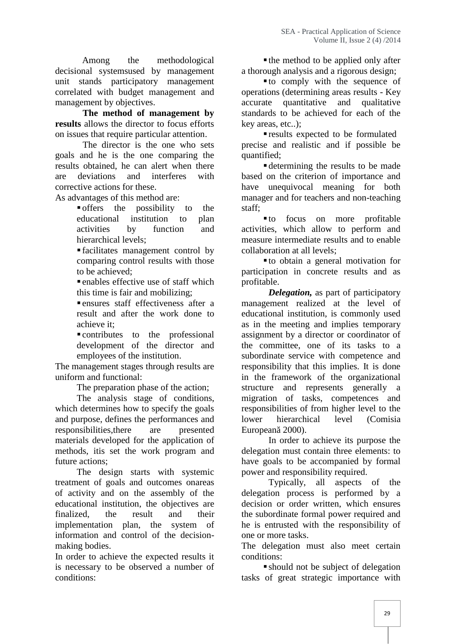Among the methodological decisional systemsused by management unit stands participatory management correlated with budget management and management by objectives.

**The method of management by results** allows the director to focus efforts on issues that require particular attention.

The director is the one who sets goals and he is the one comparing the results obtained, he can alert when there are deviations and interferes with corrective actions for these.

As advantages of this method are:

 offers the possibility to the educational institution to plan activities by function and hierarchical levels;

 facilitates management control by comparing control results with those to be achieved;

 enables effective use of staff which this time is fair and mobilizing;

 ensures staff effectiveness after a result and after the work done to achieve it;

 contributes to the professional development of the director and employees of the institution.

The management stages through results are uniform and functional:

The preparation phase of the action;

The analysis stage of conditions, which determines how to specify the goals and purpose, defines the performances and responsibilities,there are presented materials developed for the application of methods, itis set the work program and future actions;

The design starts with systemic treatment of goals and outcomes onareas of activity and on the assembly of the educational institution, the objectives are finalized, the result and their implementation plan, the system of information and control of the decision making bodies.

In order to achieve the expected results it is necessary to be observed a number of conditions:

 $\blacksquare$  the method to be applied only after a thorough analysis and a rigorous design;

 to comply with the sequence of operations (determining areas results - Key accurate quantitative and qualitative standards to be achieved for each of the key areas, etc..);

 results expected to be formulated precise and realistic and if possible be quantified;

 determining the results to be made based on the criterion of importance and have unequivocal meaning for both manager and for teachers and non-teaching staff;

 to focus on more profitable activities, which allow to perform and measure intermediate results and to enable collaboration at all levels;

 to obtain a general motivation for participation in concrete results and as profitable.

*Delegation,* as part of participatory management realized at the level of educational institution, is commonly used as in the meeting and implies temporary assignment by a director or coordinator of the committee, one of its tasks to a subordinate service with competence and responsibility that this implies. It is done in the framework of the organizational structure and represents generally a migration of tasks, competences and responsibilities of from higher level to the hierarchical level (Comisia European 2000).

In order to achieve its purpose the delegation must contain three elements: to have goals to be accompanied by formal power and responsibility required.

Typically, all aspects of the delegation process is performed by a decision or order written, which ensures the subordinate formal power required and he is entrusted with the responsibility of one or more tasks.

The delegation must also meet certain conditions:

 should not be subject of delegation tasks of great strategic importance with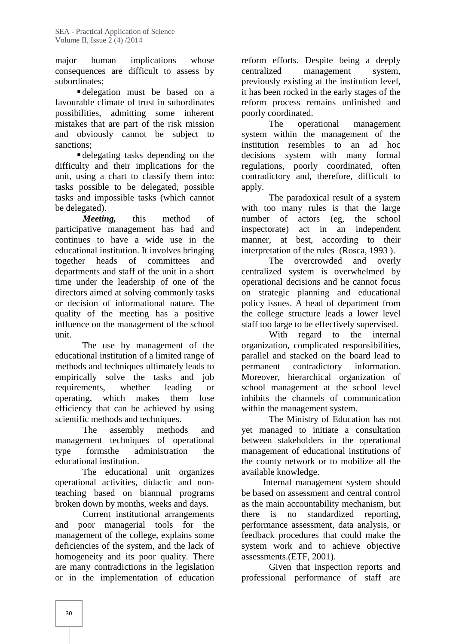major human implications whose consequences are difficult to assess by subordinates;

 delegation must be based on a favourable climate of trust in subordinates possibilities, admitting some inherent mistakes that are part of the risk mission and obviously cannot be subject to sanctions;

 delegating tasks depending on the difficulty and their implications for the unit, using a chart to classify them into: tasks possible to be delegated, possible tasks and impossible tasks (which cannot be delegated).

*Meeting,* this method of participative management has had and continues to have a wide use in the educational institution. It involves bringing together heads of committees and departments and staff of the unit in a short time under the leadership of one of the directors aimed at solving commonly tasks or decision of informational nature. The quality of the meeting has a positive influence on the management of the school unit.

The use by management of the educational institution of a limited range of methods and techniques ultimately leads to empirically solve the tasks and job requirements, whether leading or operating, which makes them lose efficiency that can be achieved by using scientific methods and techniques.

The assembly methods and management techniques of operational type formsthe administration the educational institution.

The educational unit organizes operational activities, didactic and nonteaching based on biannual programs broken down by months, weeks and days.

Current institutional arrangements and poor managerial tools for the management of the college, explains some deficiencies of the system, and the lack of homogeneity and its poor quality. There are many contradictions in the legislation or in the implementation of education

reform efforts. Despite being a deeply management system, previously existing at the institution level, it has been rocked in the early stages of the reform process remains unfinished and poorly coordinated.

The operational management system within the management of the institution resembles to an ad hoc decisions system with many formal regulations, poorly coordinated, often contradictory and, therefore, difficult to apply.

The paradoxical result of a system with too many rules is that the large number of actors (eg, the school act in an independent manner, at best, according to their interpretation of the rules (Rosca, 1993 ).

The overcrowded and overly centralized system is overwhelmed by operational decisions and he cannot focus on strategic planning and educational policy issues. A head of department from the college structure leads a lower level staff too large to be effectively supervised.

With regard to the internal organization, complicated responsibilities, parallel and stacked on the board lead to contradictory information. Moreover, hierarchical organization of school management at the school level inhibits the channels of communication within the management system.

The Ministry of Education has not yet managed to initiate a consultation between stakeholders in the operational management of educational institutions of the county network or to mobilize all the available knowledge.

Internal management system should be based on assessment and central control as the main accountability mechanism, but there is no standardized reporting, performance assessment, data analysis, or feedback procedures that could make the system work and to achieve objective assessments.(ETF, 2001).

Given that inspection reports and professional performance of staff are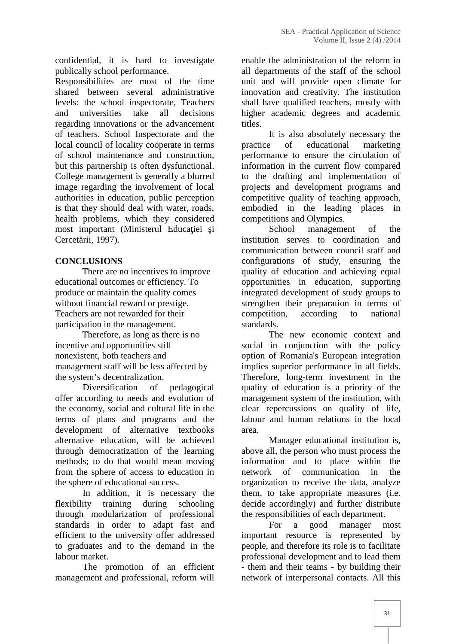confidential, it is hard to investigate publically school performance.

Responsibilities are most of the time shared between several administrative levels: the school inspectorate, Teachers and universities take all decisions regarding innovations or the advancement of teachers. School Inspectorate and the local council of locality cooperate in terms of school maintenance and construction, but this partnership is often dysfunctional. College management is generally a blurred image regarding the involvement of local authorities in education, public perception is that they should deal with water, roads, health problems, which they considered most important (Ministerul Educa iei i Cercet rii, 1997).

#### **CONCLUSIONS**

There are no incentives to improve educational outcomes or efficiency. To produce or maintain the quality comes without financial reward or prestige. Teachers are not rewarded for their participation in the management.

Therefore, as long as there is no incentive and opportunities still nonexistent, both teachers and management staff will be less affected by

the system's decentralization.<br>Diversification of pedagogical Diversification of offer according to needs and evolution of the economy, social and cultural life in the terms of plans and programs and the development of alternative textbooks alternative education, will be achieved through democratization of the learning methods; to do that would mean moving from the sphere of access to education in the sphere of educational success.

In addition, it is necessary the flexibility training during schooling through modularization of professional standards in order to adapt fast and efficient to the university offer addressed to graduates and to the demand in the labour market.

The promotion of an efficient management and professional, reform will

enable the administration of the reform in all departments of the staff of the school unit and will provide open climate for innovation and creativity. The institution shall have qualified teachers, mostly with higher academic degrees and academic titles.

It is also absolutely necessary the practice of educational marketing performance to ensure the circulation of information in the current flow compared to the drafting and implementation of projects and development programs and competitive quality of teaching approach, embodied in the leading places in competitions and Olympics.

School management of the institution serves to coordination and communication between council staff and configurations of study, ensuring the quality of education and achieving equal opportunities in education, supporting integrated development of study groups to strengthen their preparation in terms of competition, according to national standards.

The new economic context and social in conjunction with the policy option of Romania's European integration implies superior performance in all fields. Therefore, long-term investment in the quality of education is a priority of the management system of the institution, with clear repercussions on quality of life, labour and human relations in the local area.

Manager educational institution is, above all, the person who must process the information and to place within the communication in the organization to receive the data, analyze them, to take appropriate measures (i.e. decide accordingly) and further distribute the responsibilities of each department.

For a good manager most important resource is represented by people, and therefore its role is to facilitate professional development and to lead them - them and their teams - by building their network of interpersonal contacts. All this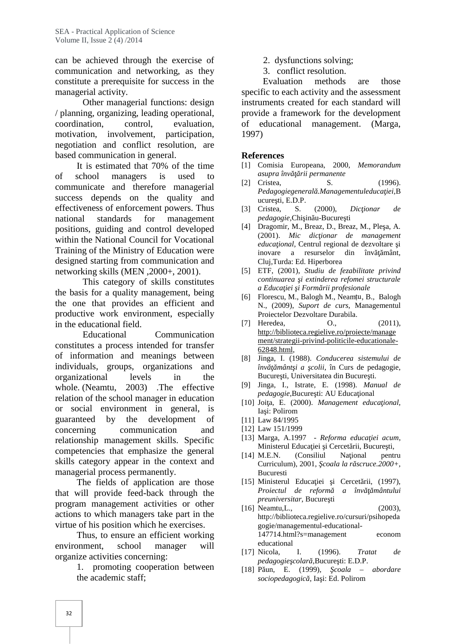can be achieved through the exercise of communication and networking, as they constitute a prerequisite for success in the managerial activity.

Other managerial functions: design / planning, organizing, leading operational, coordination, control, evaluation, motivation, involvement, participation, negotiation and conflict resolution, are based communication in general.

It is estimated that 70% of the time of school managers is used to communicate and therefore managerial success depends on the quality and effectiveness of enforcement powers. Thus national standards for management positions, guiding and control developed within the National Council for Vocational Training of the Ministry of Education were designed starting from communication and networking skills (MEN ,2000+, 2001).

This category of skills constitutes the basis for a quality management, being the one that provides an efficient and productive work environment, especially in the educational field.

Educational Communication constitutes a process intended for transfer of information and meanings between individuals, groups, organizations and organizational levels in the whole. (Neamtu, 2003) .The effective relation of the school manager in education or social environment in general, is guaranteed by the development of concerning communication and relationship management skills. Specific competencies that emphasize the general skills category appear in the context and managerial process permanently.

The fields of application are those that will provide feed-back through the program management activities or other actions to which managers take part in the virtue of his position which he exercises.

Thus, to ensure an efficient working environment, school manager will organize activities concerning:

1. promoting cooperation between the academic staff;

- 2. dysfunctions solving;
- 3. conflict resolution.

Evaluation methods are those specific to each activity and the assessment instruments created for each standard will provide a framework for the development of educational management. (Marga, 1997)

#### **References**

- [1] Comisia Europeana, 2000, *Memorandum asupra înv* rii permanente
- [2] Cristea, S. (1996). *Pedagogiegeneral .Managementuleduca iei*,B  $u$ cure $t$ i, E.D.P.
- [3] Cristea, S. (2000), *Dic ionar de pedagogie*,Chi in u-Bucure ti
- [4] Dragomir, M., Breaz, D., Breaz, M., Ple a, A. (2001). *Mic dic ionar de management educa ional,* Centrul regional de dezvoltare *i* inovare a resurselor din înv mânt, Cluj,Turda: Ed. Hiperborea
- [5] ETF, (2001), *Studiu de fezabilitate privind*  $continuarea$  *i* extinderea refomei structurale *a Educa iei i Form rii profesionale*
- [6] Florescu, M., Balogh M., Neamțu, B., Balogh N., (2009), *Suport de curs*, Managementul Proiectelor Dezvoltare Durabila.
- [7] Heredea, 0., (2011), http://biblioteca.regielive.ro/proiecte/manage ment/strategii-privind-politicile-educationale- 62848.html,
- [8] Jinga, I. (1988). *Conducerea sistemului de înv mânt i a colii*, în Curs de pedagogie, Bucure ti. Universitatea din Bucure ti.
- [9] Jinga, I., Istrate, E. (1998). *Manual de pedagogie*, Bucure ti: AU Educa ional
- [10] Joi a, E. (2000). *Management educa ional*, Ia i: Polirom
- [11] Law 84/1995
- [12] Law 151/1999
- [13] Marga, A.1997 *Reforma educa iei acum*, Ministerul Educa iei i Cercet rii, Bucure ti,
- [14] M.E.N. (Consiliul Na ional pentru Curriculum), 2001, *coala la r scruce.2000+*, Bucuresti
- [15] Ministerul Educa iei i Cercet rii, (1997),<br>*Proiectul de reform a înv mântului Proiectul de reform preuniversitar*, Bucure ti
- [16] Neamtu, L., (2003), http://biblioteca.regielive.ro/cursuri/psihopeda gogie/managementul-educational- 147714.html?s=management econom educational
- [17] Nicola, I. (1996). *Tratat de pedagogie colar*, Bucure ti: E.D.P.
- [18] P un, E. (1999), *coala abordare sociopedagogică,* Iaşi: Ed. Polirom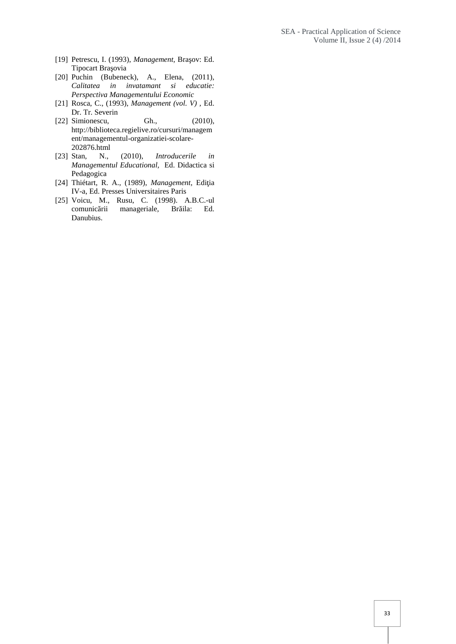- [19] Petrescu, I. (1993), *Management*, Bra ov: Ed. Tipocart Bra ovia
- [20] Puchin (Bubeneck), A., Elena, (2011), *Calitatea in invatamant si educatie: Perspectiva Managementului Economic*
- [21] Rosca, C., (1993), *Management (vol. V) ,* Ed. Dr. Tr. Severin<br>Simionescu, Gh.,
- [22] Simionescu, Gh., (2010), http://biblioteca.regielive.ro/cursuri/managem ent/managementul-organizatiei-scolare- 202876.html
- [23] Stan, N., (2010), *Introducerile in Managementul Educational,* Ed. Didactica si Pedagogica
- [24] Thiétart, R. A., (1989), *Management*, Edi ia IV-a, Ed. Presses Universitaires Paris
- [25] Voicu, M., Rusu, C. (1998). A.B.C.-ul comunic rii manageriale, Br ila: Ed. Danubius.